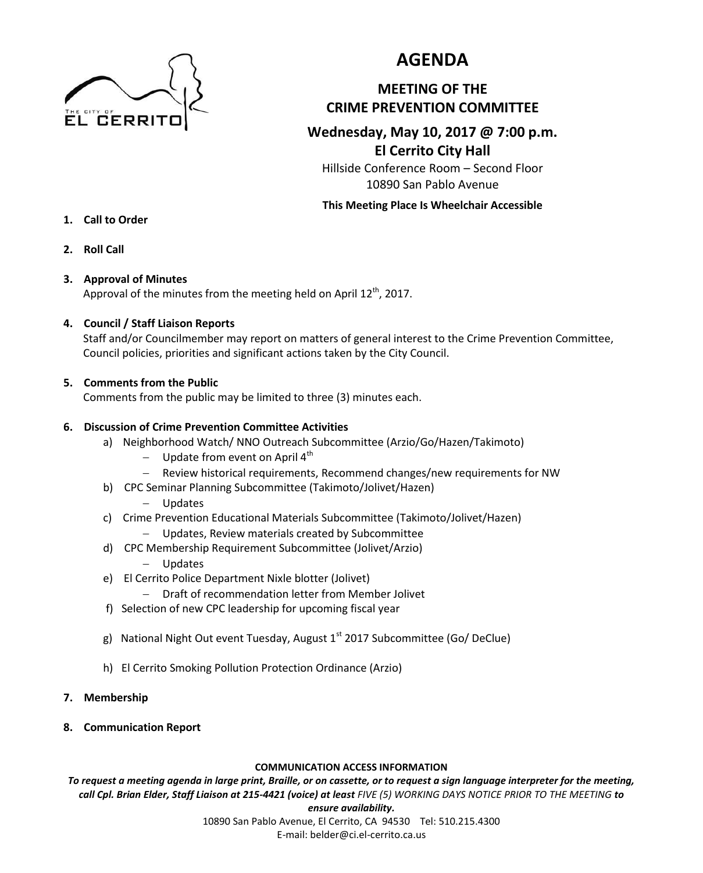

# **AGENDA**

# **MEETING OF THE CRIME PREVENTION COMMITTEE**

# **Wednesday, May 10, 2017 @ 7:00 p.m. El Cerrito City Hall**

Hillside Conference Room – Second Floor 10890 San Pablo Avenue

#### **This Meeting Place Is Wheelchair Accessible**

- **1. Call to Order**
- **2. Roll Call**

## **3. Approval of Minutes**

Approval of the minutes from the meeting held on April 12<sup>th</sup>, 2017.

## **4. Council / Staff Liaison Reports**

Staff and/or Councilmember may report on matters of general interest to the Crime Prevention Committee, Council policies, priorities and significant actions taken by the City Council.

#### **5. Comments from the Public**

Comments from the public may be limited to three (3) minutes each.

## **6. Discussion of Crime Prevention Committee Activities**

- a) Neighborhood Watch/ NNO Outreach Subcommittee (Arzio/Go/Hazen/Takimoto)
	- Update from event on April  $4<sup>th</sup>$
	- Review historical requirements, Recommend changes/new requirements for NW
- b) CPC Seminar Planning Subcommittee (Takimoto/Jolivet/Hazen)
	- Updates
- c) Crime Prevention Educational Materials Subcommittee (Takimoto/Jolivet/Hazen)
	- Updates, Review materials created by Subcommittee
- d) CPC Membership Requirement Subcommittee (Jolivet/Arzio) Updates
- e) El Cerrito Police Department Nixle blotter (Jolivet)
	- Draft of recommendation letter from Member Jolivet
- f) Selection of new CPC leadership for upcoming fiscal year
- g) National Night Out event Tuesday, August  $1<sup>st</sup>$  2017 Subcommittee (Go/ DeClue)
- h) El Cerrito Smoking Pollution Protection Ordinance (Arzio)
- **7. Membership**
- **8. Communication Report**

#### **COMMUNICATION ACCESS INFORMATION**

*To request a meeting agenda in large print, Braille, or on cassette, or to request a sign language interpreter for the meeting, call Cpl. Brian Elder, Staff Liaison at 215-4421 (voice) at least FIVE (5) WORKING DAYS NOTICE PRIOR TO THE MEETING to* 

#### *ensure availability.*

10890 San Pablo Avenue, El Cerrito, CA 94530 Tel: 510.215.4300 E-mail: belder@ci.el-cerrito.ca.us